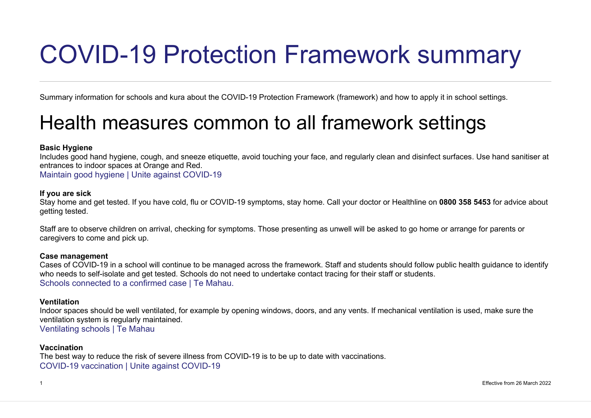# COVID-19 Protection Framework summary

Summary information for schools and kura about the COVID-19 Protection Framework (framework) and how to apply it in school settings.

# Health measures common to all framework settings

# **Basic Hygiene**

Includes good hand hygiene, cough, and sneeze etiquette, avoid touching your face, and regularly clean and disinfect surfaces. Use hand sanitiser at entrances to indoor spaces at Orange and Red.

Maintain good hygiene | Unite against COVID-19

## **If you are sick**

Stay home and get tested. If you have cold, flu or COVID-19 symptoms, stay home. Call your doctor or Healthline on **0800 358 5453** for advice about getting tested.

Staff are to observe children on arrival, checking for symptoms. Those presenting as unwell will be asked to go home or arrange for parents or caregivers to come and pick up.

## **Case management**

Cases of COVID-19 in a school will continue to be managed across the framework. Staff and students should follow public health guidance to identify who needs to self-isolate and get tested. Schools do not need to undertake contact tracing for their staff or students. Schools connected to a confirmed case | Te Mahau.

## **Ventilation**

Indoor spaces should be well ventilated, for example by opening windows, doors, and any vents. If mechanical ventilation is used, make sure the ventilation system is regularly maintained. Ventilating schools | Te Mahau

#### **Vaccination**

The best way to reduce the risk of severe illness from COVID-19 is to be up to date with vaccinations. COVID-19 vaccination | Unite against COVID-19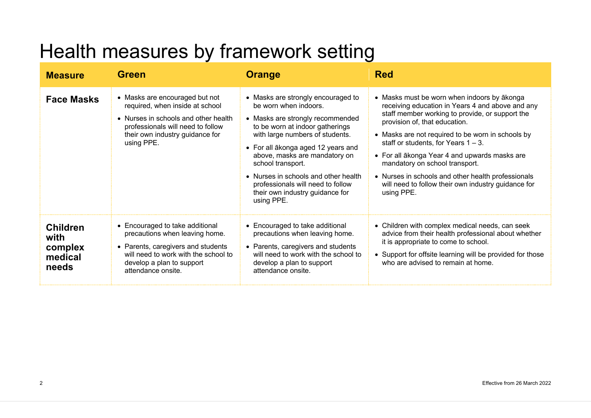# Health measures by framework setting

| <b>Measure</b>                                         | <b>Green</b>                                                                                                                                                                                       | <b>Orange</b>                                                                                                                                                                                                                                                                                                                                                                                   | <b>Red</b>                                                                                                                                                                                                                                                                                                                                                                                                                                                                                       |
|--------------------------------------------------------|----------------------------------------------------------------------------------------------------------------------------------------------------------------------------------------------------|-------------------------------------------------------------------------------------------------------------------------------------------------------------------------------------------------------------------------------------------------------------------------------------------------------------------------------------------------------------------------------------------------|--------------------------------------------------------------------------------------------------------------------------------------------------------------------------------------------------------------------------------------------------------------------------------------------------------------------------------------------------------------------------------------------------------------------------------------------------------------------------------------------------|
| <b>Face Masks</b>                                      | • Masks are encouraged but not<br>required, when inside at school<br>• Nurses in schools and other health<br>professionals will need to follow<br>their own industry guidance for<br>using PPE.    | • Masks are strongly encouraged to<br>be worn when indoors.<br>• Masks are strongly recommended<br>to be worn at indoor gatherings<br>with large numbers of students.<br>• For all ākonga aged 12 years and<br>above, masks are mandatory on<br>school transport.<br>• Nurses in schools and other health<br>professionals will need to follow<br>their own industry guidance for<br>using PPE. | • Masks must be worn when indoors by ākonga<br>receiving education in Years 4 and above and any<br>staff member working to provide, or support the<br>provision of, that education.<br>• Masks are not required to be worn in schools by<br>staff or students, for Years $1 - 3$ .<br>• For all ākonga Year 4 and upwards masks are<br>mandatory on school transport.<br>• Nurses in schools and other health professionals<br>will need to follow their own industry guidance for<br>using PPE. |
| <b>Children</b><br>with<br>complex<br>medical<br>needs | • Encouraged to take additional<br>precautions when leaving home.<br>• Parents, caregivers and students<br>will need to work with the school to<br>develop a plan to support<br>attendance onsite. | • Encouraged to take additional<br>precautions when leaving home.<br>• Parents, caregivers and students<br>will need to work with the school to<br>develop a plan to support<br>attendance onsite.                                                                                                                                                                                              | • Children with complex medical needs, can seek<br>advice from their health professional about whether<br>it is appropriate to come to school.<br>• Support for offsite learning will be provided for those<br>who are advised to remain at home.                                                                                                                                                                                                                                                |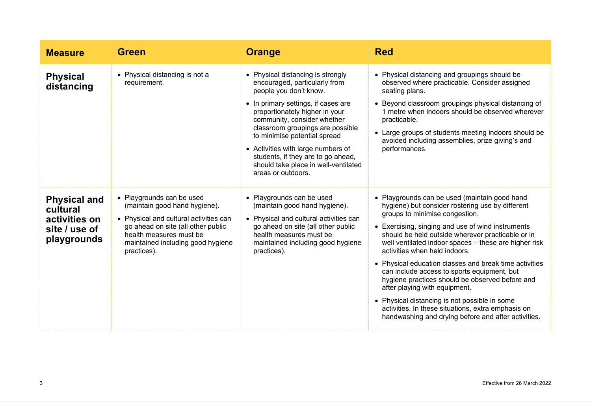| <b>Measure</b>                                                                   | <b>Green</b>                                                                                                                                                                                                              | <b>Orange</b>                                                                                                                                                                                                                                                                                                                                                                                                      | <b>Red</b>                                                                                                                                                                                                                                                                                                                                                                                                                                                                                                                                                                                                                                                                                         |
|----------------------------------------------------------------------------------|---------------------------------------------------------------------------------------------------------------------------------------------------------------------------------------------------------------------------|--------------------------------------------------------------------------------------------------------------------------------------------------------------------------------------------------------------------------------------------------------------------------------------------------------------------------------------------------------------------------------------------------------------------|----------------------------------------------------------------------------------------------------------------------------------------------------------------------------------------------------------------------------------------------------------------------------------------------------------------------------------------------------------------------------------------------------------------------------------------------------------------------------------------------------------------------------------------------------------------------------------------------------------------------------------------------------------------------------------------------------|
| <b>Physical</b><br>distancing                                                    | • Physical distancing is not a<br>requirement.                                                                                                                                                                            | • Physical distancing is strongly<br>encouraged, particularly from<br>people you don't know.<br>• In primary settings, if cases are<br>proportionately higher in your<br>community, consider whether<br>classroom groupings are possible<br>to minimise potential spread<br>• Activities with large numbers of<br>students, if they are to go ahead,<br>should take place in well-ventilated<br>areas or outdoors. | • Physical distancing and groupings should be<br>observed where practicable. Consider assigned<br>seating plans.<br>• Beyond classroom groupings physical distancing of<br>1 metre when indoors should be observed wherever<br>practicable.<br>• Large groups of students meeting indoors should be<br>avoided including assemblies, prize giving's and<br>performances.                                                                                                                                                                                                                                                                                                                           |
| <b>Physical and</b><br>cultural<br>activities on<br>site / use of<br>playgrounds | • Playgrounds can be used<br>(maintain good hand hygiene).<br>• Physical and cultural activities can<br>go ahead on site (all other public<br>health measures must be<br>maintained including good hygiene<br>practices). | • Playgrounds can be used<br>(maintain good hand hygiene).<br>• Physical and cultural activities can<br>go ahead on site (all other public<br>health measures must be<br>maintained including good hygiene<br>practices).                                                                                                                                                                                          | • Playgrounds can be used (maintain good hand<br>hygiene) but consider rostering use by different<br>groups to minimise congestion.<br>• Exercising, singing and use of wind instruments<br>should be held outside wherever practicable or in<br>well ventilated indoor spaces - these are higher risk<br>activities when held indoors.<br>• Physical education classes and break time activities<br>can include access to sports equipment, but<br>hygiene practices should be observed before and<br>after playing with equipment.<br>• Physical distancing is not possible in some<br>activities. In these situations, extra emphasis on<br>handwashing and drying before and after activities. |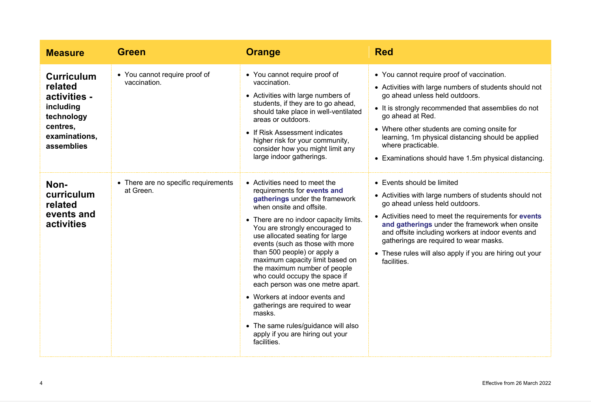| <b>Measure</b>                                                                                                     | <b>Green</b>                                      | <b>Orange</b>                                                                                                                                                                                                                                                                                                                                                                                                                                                                                                                                                                                                                | <b>Red</b>                                                                                                                                                                                                                                                                                                                                                                                                   |
|--------------------------------------------------------------------------------------------------------------------|---------------------------------------------------|------------------------------------------------------------------------------------------------------------------------------------------------------------------------------------------------------------------------------------------------------------------------------------------------------------------------------------------------------------------------------------------------------------------------------------------------------------------------------------------------------------------------------------------------------------------------------------------------------------------------------|--------------------------------------------------------------------------------------------------------------------------------------------------------------------------------------------------------------------------------------------------------------------------------------------------------------------------------------------------------------------------------------------------------------|
| <b>Curriculum</b><br>related<br>activities -<br>including<br>technology<br>centres,<br>examinations.<br>assemblies | • You cannot require proof of<br>vaccination.     | • You cannot require proof of<br>vaccination.<br>• Activities with large numbers of<br>students, if they are to go ahead,<br>should take place in well-ventilated<br>areas or outdoors.<br>• If Risk Assessment indicates<br>higher risk for your community,<br>consider how you might limit any<br>large indoor gatherings.                                                                                                                                                                                                                                                                                                 | • You cannot require proof of vaccination.<br>• Activities with large numbers of students should not<br>go ahead unless held outdoors.<br>• It is strongly recommended that assemblies do not<br>go ahead at Red.<br>• Where other students are coming onsite for<br>learning, 1m physical distancing should be applied<br>where practicable.<br>• Examinations should have 1.5m physical distancing.        |
| Non-<br>curriculum<br>related<br>events and<br>activities                                                          | • There are no specific requirements<br>at Green. | • Activities need to meet the<br>requirements for events and<br>gatherings under the framework<br>when onsite and offsite.<br>• There are no indoor capacity limits.<br>You are strongly encouraged to<br>use allocated seating for large<br>events (such as those with more<br>than 500 people) or apply a<br>maximum capacity limit based on<br>the maximum number of people<br>who could occupy the space if<br>each person was one metre apart.<br>• Workers at indoor events and<br>gatherings are required to wear<br>masks.<br>• The same rules/guidance will also<br>apply if you are hiring out your<br>facilities. | • Events should be limited<br>• Activities with large numbers of students should not<br>go ahead unless held outdoors.<br>• Activities need to meet the requirements for events<br>and gatherings under the framework when onsite<br>and offsite including workers at indoor events and<br>gatherings are required to wear masks.<br>• These rules will also apply if you are hiring out your<br>facilities. |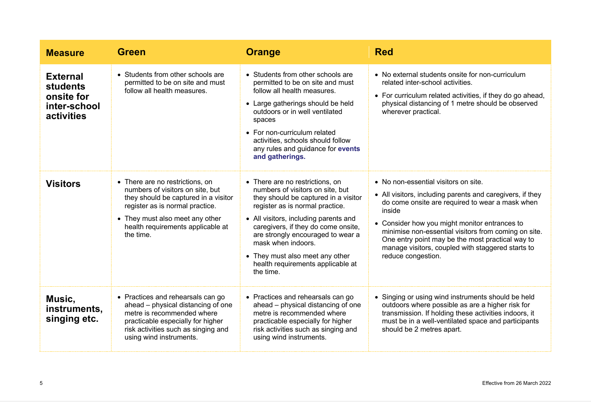| <b>Measure</b>                                                          | <b>Green</b>                                                                                                                                                                                                                        | <b>Orange</b>                                                                                                                                                                                                                                                                                                                                                                  | <b>Red</b>                                                                                                                                                                                                                                                                                                                                                                                             |
|-------------------------------------------------------------------------|-------------------------------------------------------------------------------------------------------------------------------------------------------------------------------------------------------------------------------------|--------------------------------------------------------------------------------------------------------------------------------------------------------------------------------------------------------------------------------------------------------------------------------------------------------------------------------------------------------------------------------|--------------------------------------------------------------------------------------------------------------------------------------------------------------------------------------------------------------------------------------------------------------------------------------------------------------------------------------------------------------------------------------------------------|
| <b>External</b><br>students<br>onsite for<br>inter-school<br>activities | • Students from other schools are<br>permitted to be on site and must<br>follow all health measures.                                                                                                                                | • Students from other schools are<br>permitted to be on site and must<br>follow all health measures.<br>• Large gatherings should be held<br>outdoors or in well ventilated<br>spaces<br>• For non-curriculum related<br>activities, schools should follow<br>any rules and guidance for events<br>and gatherings.                                                             | • No external students onsite for non-curriculum<br>related inter-school activities.<br>• For curriculum related activities, if they do go ahead,<br>physical distancing of 1 metre should be observed<br>wherever practical.                                                                                                                                                                          |
| <b>Visitors</b>                                                         | • There are no restrictions, on<br>numbers of visitors on site, but<br>they should be captured in a visitor<br>register as is normal practice.<br>• They must also meet any other<br>health requirements applicable at<br>the time. | • There are no restrictions, on<br>numbers of visitors on site, but<br>they should be captured in a visitor<br>register as is normal practice.<br>• All visitors, including parents and<br>caregivers, if they do come onsite,<br>are strongly encouraged to wear a<br>mask when indoors.<br>• They must also meet any other<br>health requirements applicable at<br>the time. | • No non-essential visitors on site.<br>• All visitors, including parents and caregivers, if they<br>do come onsite are required to wear a mask when<br>inside<br>• Consider how you might monitor entrances to<br>minimise non-essential visitors from coming on site.<br>One entry point may be the most practical way to<br>manage visitors, coupled with staggered starts to<br>reduce congestion. |
| Music,<br>instruments.<br>singing etc.                                  | • Practices and rehearsals can go<br>ahead - physical distancing of one<br>metre is recommended where<br>practicable especially for higher<br>risk activities such as singing and<br>using wind instruments.                        | • Practices and rehearsals can go<br>ahead – physical distancing of one<br>metre is recommended where<br>practicable especially for higher<br>risk activities such as singing and<br>using wind instruments.                                                                                                                                                                   | • Singing or using wind instruments should be held<br>outdoors where possible as are a higher risk for<br>transmission. If holding these activities indoors, it<br>must be in a well-ventilated space and participants<br>should be 2 metres apart.                                                                                                                                                    |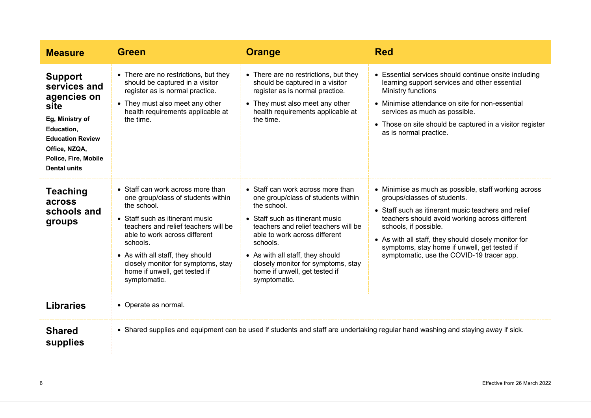| <b>Measure</b>                                                                                                                                                                    | <b>Green</b>                                                                                                                                                                                                                                                                                                                              | <b>Orange</b>                                                                                                                                                                                                                                                                                                                             | <b>Red</b>                                                                                                                                                                                                                                                                                                                                                                 |
|-----------------------------------------------------------------------------------------------------------------------------------------------------------------------------------|-------------------------------------------------------------------------------------------------------------------------------------------------------------------------------------------------------------------------------------------------------------------------------------------------------------------------------------------|-------------------------------------------------------------------------------------------------------------------------------------------------------------------------------------------------------------------------------------------------------------------------------------------------------------------------------------------|----------------------------------------------------------------------------------------------------------------------------------------------------------------------------------------------------------------------------------------------------------------------------------------------------------------------------------------------------------------------------|
| <b>Support</b><br>services and<br>agencies on<br>site<br>Eg, Ministry of<br>Education,<br><b>Education Review</b><br>Office, NZQA,<br>Police, Fire, Mobile<br><b>Dental units</b> | • There are no restrictions, but they<br>should be captured in a visitor<br>register as is normal practice.<br>• They must also meet any other<br>health requirements applicable at<br>the time.                                                                                                                                          | • There are no restrictions, but they<br>should be captured in a visitor<br>register as is normal practice.<br>• They must also meet any other<br>health requirements applicable at<br>the time.                                                                                                                                          | • Essential services should continue onsite including<br>learning support services and other essential<br>Ministry functions<br>• Minimise attendance on site for non-essential<br>services as much as possible.<br>• Those on site should be captured in a visitor register<br>as is normal practice.                                                                     |
| <b>Teaching</b><br>across<br>schools and<br>groups                                                                                                                                | • Staff can work across more than<br>one group/class of students within<br>the school.<br>• Staff such as itinerant music<br>teachers and relief teachers will be<br>able to work across different<br>schools.<br>• As with all staff, they should<br>closely monitor for symptoms, stay<br>home if unwell, get tested if<br>symptomatic. | • Staff can work across more than<br>one group/class of students within<br>the school.<br>• Staff such as itinerant music<br>teachers and relief teachers will be<br>able to work across different<br>schools.<br>• As with all staff, they should<br>closely monitor for symptoms, stay<br>home if unwell, get tested if<br>symptomatic. | • Minimise as much as possible, staff working across<br>groups/classes of students.<br>• Staff such as itinerant music teachers and relief<br>teachers should avoid working across different<br>schools, if possible.<br>• As with all staff, they should closely monitor for<br>symptoms, stay home if unwell, get tested if<br>symptomatic, use the COVID-19 tracer app. |
| <b>Libraries</b>                                                                                                                                                                  | • Operate as normal.                                                                                                                                                                                                                                                                                                                      |                                                                                                                                                                                                                                                                                                                                           |                                                                                                                                                                                                                                                                                                                                                                            |
| <b>Shared</b><br>supplies                                                                                                                                                         | • Shared supplies and equipment can be used if students and staff are undertaking regular hand washing and staying away if sick.                                                                                                                                                                                                          |                                                                                                                                                                                                                                                                                                                                           |                                                                                                                                                                                                                                                                                                                                                                            |